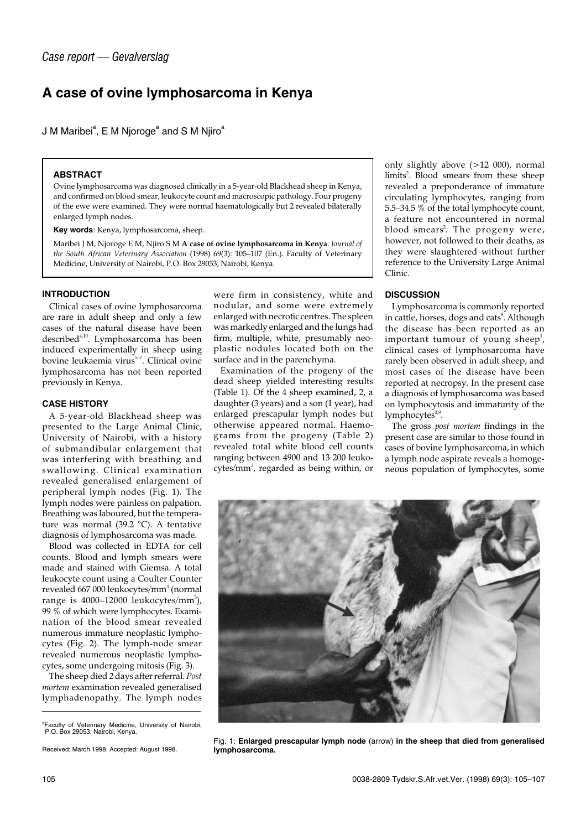# **A case of ovine lymphosarcoma in Kenya**

J M Maribei $\mathrm{^a}$ , E M Njoroge $\mathrm{^a}$  and S M Njiro $\mathrm{^a}$ 

#### **ABSTRACT**

Ovine lymphosarcoma was diagnosed clinically in a 5-year-old Blackhead sheep in Kenya, and confirmed on blood smear, leukocyte count and macroscopic pathology. Four progeny of the ewe were examined. They were normal haematologically but 2 revealed bilaterally enlarged lymph nodes.

**Key words**: Kenya, lymphosarcoma, sheep.

Maribei J M, Njoroge E M, Njiro S M **A case of ovine lymphosarcoma in Kenya**. *Journal of the South African Veterinary Association* (1998) 69(3): 105–107 (En.). Faculty of Veterinary Medicine, University of Nairobi, P.O. Box 29053, Nairobi, Kenya.

## **INTRODUCTION**

Clinical cases of ovine lymphosarcoma are rare in adult sheep and only a few cases of the natural disease have been described<sup>4,10</sup>. Lymphosarcoma has been induced experimentally in sheep using bovine leukaemia virus<sup>5-7</sup>. Clinical ovine lymphosarcoma has not been reported previously in Kenya.

## **CASE HISTORY**

A 5-year-old Blackhead sheep was presented to the Large Animal Clinic, University of Nairobi, with a history of submandibular enlargement that was interfering with breathing and swallowing. Clinical examination revealed generalised enlargement of peripheral lymph nodes (Fig. 1). The lymph nodes were painless on palpation. Breathing was laboured, but the temperature was normal (39.2 °C). A tentative diagnosis of lymphosarcoma was made.

Blood was collected in EDTA for cell counts. Blood and lymph smears were made and stained with Giemsa. A total leukocyte count using a Coulter Counter revealed 667 000 leukocytes/mm<sup>3</sup> (normal range is 4000–12000 leukocytes/mm<sup>3</sup>), 99 % of which were lymphocytes. Examination of the blood smear revealed numerous immature neoplastic lymphocytes (Fig. 2). The lymph-node smear revealed numerous neoplastic lymphocytes, some undergoing mitosis (Fig. 3).

The sheep died 2 days after referral. *Post mortem* examination revealed generalised lymphadenopathy. The lymph nodes were firm in consistency, white and nodular, and some were extremely enlarged with necrotic centres. The spleen was markedly enlarged and the lungs had firm, multiple, white, presumably neoplastic nodules located both on the surface and in the parenchyma.

Examination of the progeny of the dead sheep yielded interesting results (Table 1). Of the 4 sheep examined, 2, a daughter (3 years) and a son (1 year), had enlarged prescapular lymph nodes but otherwise appeared normal. Haemograms from the progeny (Table 2) revealed total white blood cell counts ranging between 4900 and 13 200 leukocytes/mm<sup>3</sup>, regarded as being within, or

only slightly above (>12 000), normal limits<sup>2</sup>. Blood smears from these sheep revealed a preponderance of immature circulating lymphocytes, ranging from 5.5–34.5 % of the total lymphocyte count, a feature not encountered in normal blood smears<sup>2</sup>. The progeny were, however, not followed to their deaths, as they were slaughtered without further reference to the University Large Animal Clinic.

## **DISCUSSION**

Lymphosarcoma is commonly reported in cattle, horses, dogs and cats $^8$ . Although the disease has been reported as an important tumour of young sheep $^{\rm l}$ , clinical cases of lymphosarcoma have rarely been observed in adult sheep, and most cases of the disease have been reported at necropsy. In the present case a diagnosis of lymphosarcoma was based on lymphocytosis and immaturity of the  $l$ <sub>vmphocytes</sub> $3,9$ .

The gross *post mortem* findings in the present case are similar to those found in cases of bovine lymphosarcoma, in which a lymph node aspirate reveals a homogeneous population of lymphocytes, some



Fig. 1: **Enlarged prescapular lymph node** (arrow) **in the sheep that died from generalised lymphosarcoma.**

<sup>&</sup>lt;sup>a</sup> Faculty of Veterinary Medicine, University of Nairobi,<br>P.O. Box 29053, Nairobi, Kenya.

Received: March 1998. Accepted: August 1998.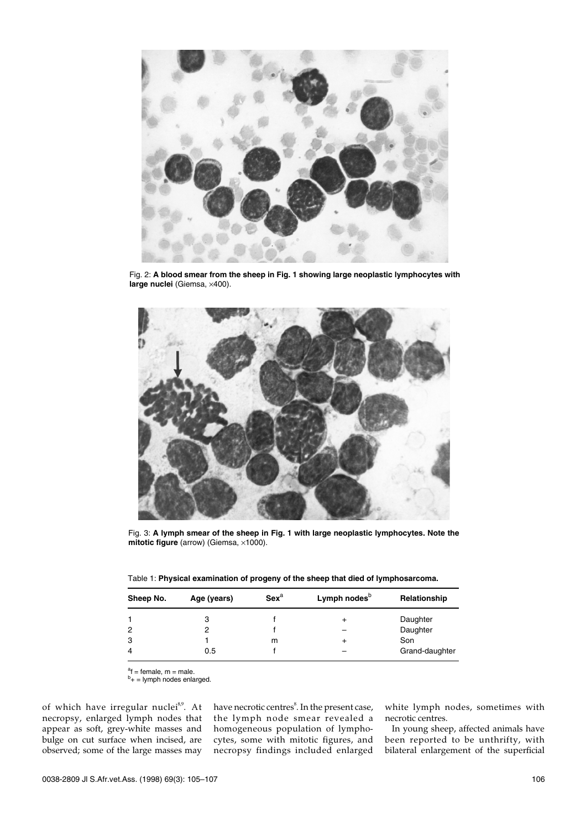

Fig. 2: **A blood smear from the sheep in Fig. 1 showing large neoplastic lymphocytes with large nuclei** (Giemsa, ×400).



Fig. 3: **A lymph smear of the sheep in Fig. 1 with large neoplastic lymphocytes. Note the mitotic figure** (arrow) (Giemsa, ×1000).

|  |  |  |  | Table 1: Physical examination of progeny of the sheep that died of lymphosarcoma. |
|--|--|--|--|-----------------------------------------------------------------------------------|
|--|--|--|--|-----------------------------------------------------------------------------------|

| Sheep No. | Age (years) | $Sex^a$ | Lymph nodes <sup>b</sup> | Relationship   |  |
|-----------|-------------|---------|--------------------------|----------------|--|
|           |             |         |                          | Daughter       |  |
| 2         | 2           |         |                          | Daughter       |  |
| 3         |             | m       | +                        | Son            |  |
| 4         | 0.5         |         |                          | Grand-daughter |  |

<sup>a</sup>f = female, m = male.<br><sup>b</sup>+ = lymph nodes enlarged.

of which have irregular nuclei<sup>8,9</sup>. At necropsy, enlarged lymph nodes that appear as soft, grey-white masses and bulge on cut surface when incised, are observed; some of the large masses may

have necrotic centres $^{\rm 8}$ . In the present case, the lymph node smear revealed a homogeneous population of lymphocytes, some with mitotic figures, and necropsy findings included enlarged

white lymph nodes, sometimes with necrotic centres.

In young sheep, affected animals have been reported to be unthrifty, with bilateral enlargement of the superficial